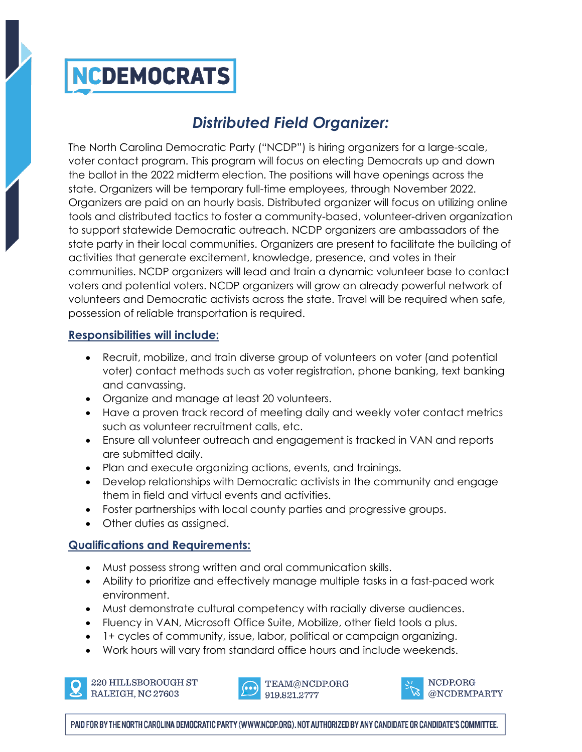## **NCDEMOCRATS**

### *Distributed Field Organizer:*

The North Carolina Democratic Party ("NCDP") is hiring organizers for a large-scale, voter contact program. This program will focus on electing Democrats up and down the ballot in the 2022 midterm election. The positions will have openings across the state. Organizers will be temporary full-time employees, through November 2022. Organizers are paid on an hourly basis. Distributed organizer will focus on utilizing online tools and distributed tactics to foster a community-based, volunteer-driven organization to support statewide Democratic outreach. NCDP organizers are ambassadors of the state party in their local communities. Organizers are present to facilitate the building of activities that generate excitement, knowledge, presence, and votes in their communities. NCDP organizers will lead and train a dynamic volunteer base to contact voters and potential voters. NCDP organizers will grow an already powerful network of volunteers and Democratic activists across the state. Travel will be required when safe, possession of reliable transportation is required.

### **Responsibilities will include:**

- Recruit, mobilize, and train diverse group of volunteers on voter (and potential voter) contact methods such as voter registration, phone banking, text banking and canvassing.
- Organize and manage at least 20 volunteers.
- Have a proven track record of meeting daily and weekly voter contact metrics such as volunteer recruitment calls, etc.
- Ensure all volunteer outreach and engagement is tracked in VAN and reports are submitted daily.
- Plan and execute organizing actions, events, and trainings.
- Develop relationships with Democratic activists in the community and engage them in field and virtual events and activities.
- Foster partnerships with local county parties and progressive groups.
- Other duties as assigned.

### **Qualifications and Requirements:**

- Must possess strong written and oral communication skills.
- Ability to prioritize and effectively manage multiple tasks in a fast-paced work environment.
- Must demonstrate cultural competency with racially diverse audiences.
- Fluency in VAN, Microsoft Office Suite, Mobilize, other field tools a plus.
- 1+ cycles of community, issue, labor, political or campaign organizing.
- Work hours will vary from standard office hours and include weekends.



220 HILLSBOROUGH ST RALEIGH, NC 27603





PAID FOR BY THE NORTH CAROLINA DEMOCRATIC PARTY (WWW.NCDP.ORG). NOT AUTHORIZED BY ANY CANDIDATE OR CANDIDATE'S COMMITTEE.